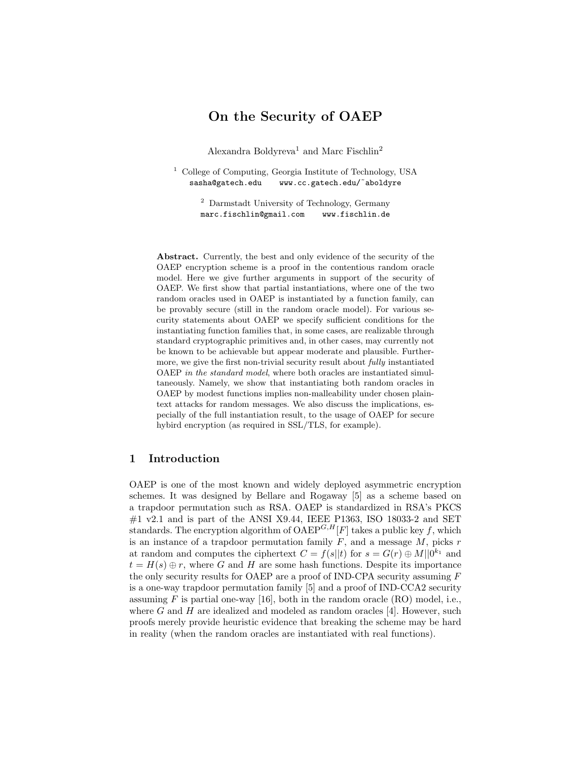# On the Security of OAEP

Alexandra Boldyreva<sup>1</sup> and Marc Fischlin<sup>2</sup>

<sup>1</sup> College of Computing, Georgia Institute of Technology, USA sasha@gatech.edu www.cc.gatech.edu/~aboldyre

> <sup>2</sup> Darmstadt University of Technology, Germany marc.fischlin@gmail.com www.fischlin.de

Abstract. Currently, the best and only evidence of the security of the OAEP encryption scheme is a proof in the contentious random oracle model. Here we give further arguments in support of the security of OAEP. We first show that partial instantiations, where one of the two random oracles used in OAEP is instantiated by a function family, can be provably secure (still in the random oracle model). For various security statements about OAEP we specify sufficient conditions for the instantiating function families that, in some cases, are realizable through standard cryptographic primitives and, in other cases, may currently not be known to be achievable but appear moderate and plausible. Furthermore, we give the first non-trivial security result about *fully* instantiated OAEP in the standard model, where both oracles are instantiated simultaneously. Namely, we show that instantiating both random oracles in OAEP by modest functions implies non-malleability under chosen plaintext attacks for random messages. We also discuss the implications, especially of the full instantiation result, to the usage of OAEP for secure hybird encryption (as required in SSL/TLS, for example).

# 1 Introduction

OAEP is one of the most known and widely deployed asymmetric encryption schemes. It was designed by Bellare and Rogaway [5] as a scheme based on a trapdoor permutation such as RSA. OAEP is standardized in RSA's PKCS  $#1$  v2.1 and is part of the ANSI X9.44, IEEE P1363, ISO 18033-2 and SET standards. The encryption algorithm of  $O A E P^{G,H}[F]$  takes a public key f, which is an instance of a trapdoor permutation family  $\overline{F}$ , and a message  $\overline{M}$ , picks r at random and computes the ciphertext  $C = f(s||t)$  for  $s = G(r) \oplus M||0^{k_1}$  and  $t = H(s) \oplus r$ , where G and H are some hash functions. Despite its importance the only security results for OAEP are a proof of IND-CPA security assuming  $F$ is a one-way trapdoor permutation family [5] and a proof of IND-CCA2 security assuming  $F$  is partial one-way [16], both in the random oracle (RO) model, i.e., where G and H are idealized and modeled as random oracles [4]. However, such proofs merely provide heuristic evidence that breaking the scheme may be hard in reality (when the random oracles are instantiated with real functions).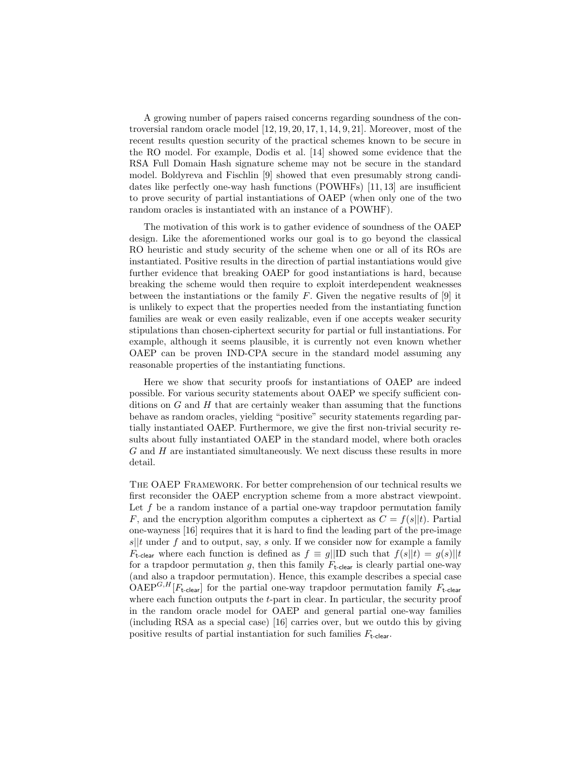A growing number of papers raised concerns regarding soundness of the controversial random oracle model [12, 19, 20, 17, 1, 14, 9, 21]. Moreover, most of the recent results question security of the practical schemes known to be secure in the RO model. For example, Dodis et al. [14] showed some evidence that the RSA Full Domain Hash signature scheme may not be secure in the standard model. Boldyreva and Fischlin [9] showed that even presumably strong candidates like perfectly one-way hash functions (POWHFs) [11, 13] are insufficient to prove security of partial instantiations of OAEP (when only one of the two random oracles is instantiated with an instance of a POWHF).

The motivation of this work is to gather evidence of soundness of the OAEP design. Like the aforementioned works our goal is to go beyond the classical RO heuristic and study security of the scheme when one or all of its ROs are instantiated. Positive results in the direction of partial instantiations would give further evidence that breaking OAEP for good instantiations is hard, because breaking the scheme would then require to exploit interdependent weaknesses between the instantiations or the family  $F$ . Given the negative results of [9] it is unlikely to expect that the properties needed from the instantiating function families are weak or even easily realizable, even if one accepts weaker security stipulations than chosen-ciphertext security for partial or full instantiations. For example, although it seems plausible, it is currently not even known whether OAEP can be proven IND-CPA secure in the standard model assuming any reasonable properties of the instantiating functions.

Here we show that security proofs for instantiations of OAEP are indeed possible. For various security statements about OAEP we specify sufficient conditions on  $G$  and  $H$  that are certainly weaker than assuming that the functions behave as random oracles, yielding "positive" security statements regarding partially instantiated OAEP. Furthermore, we give the first non-trivial security results about fully instantiated OAEP in the standard model, where both oracles G and H are instantiated simultaneously. We next discuss these results in more detail.

The OAEP Framework. For better comprehension of our technical results we first reconsider the OAEP encryption scheme from a more abstract viewpoint. Let  $f$  be a random instance of a partial one-way trapdoor permutation family F, and the encryption algorithm computes a ciphertext as  $C = f(s||t)$ . Partial one-wayness [16] requires that it is hard to find the leading part of the pre-image  $s||t$  under f and to output, say, s only. If we consider now for example a family  $F_{\text{t-clear}}$  where each function is defined as  $f \equiv g||\text{ID}$  such that  $f(s||t) = g(s)||t$ for a trapdoor permutation  $g$ , then this family  $F_{t-\text{clear}}$  is clearly partial one-way (and also a trapdoor permutation). Hence, this example describes a special case  $OAEP^{G,H}[F_{t-\text{clear}}]$  for the partial one-way trapdoor permutation family  $F_{t-\text{clear}}$ where each function outputs the *t*-part in clear. In particular, the security proof in the random oracle model for OAEP and general partial one-way families (including RSA as a special case) [16] carries over, but we outdo this by giving positive results of partial instantiation for such families  $F_{t-\text{clear}}$ .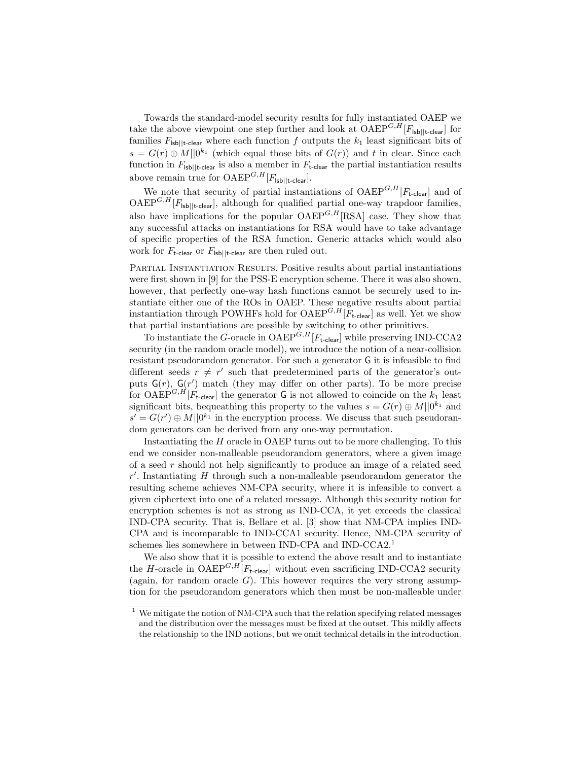Towards the standard-model security results for fully instantiated OAEP we take the above viewpoint one step further and look at  $O A E P^{G,H}[F_{\text{lsb}}|_{\text{t-clear}}]$  for families  $F_{\text{lsb||t-clear}}$  where each function f outputs the  $k_1$  least significant bits of  $s = G(r) \oplus M||0^{k_1}$  (which equal those bits of  $G(r)$ ) and t in clear. Since each function in  $F_{\text{lsb}||\text{t-clear}}$  is also a member in  $F_{\text{t-clear}}$  the partial instantiation results above remain true for  $O A E P^{G,H}[F_{\text{lsb}}|_{\text{t-clear}}].$ 

We note that security of partial instantiations of  $\text{OAEP}^{G,H}[F_{\text{t-clear}}]$  and of  $OAEP^{G,H}[F_{\text{lsb}}|_{\text{t-clear}}]$ , although for qualified partial one-way trapdoor families, also have implications for the popular  $O A E P^{G,H}$ [RSA] case. They show that any successful attacks on instantiations for RSA would have to take advantage of specific properties of the RSA function. Generic attacks which would also work for  $F_{t-\text{clear}}$  or  $F_{\text{lsb}||t-\text{clear}}$  are then ruled out.

Partial Instantiation Results. Positive results about partial instantiations were first shown in [9] for the PSS-E encryption scheme. There it was also shown, however, that perfectly one-way hash functions cannot be securely used to instantiate either one of the ROs in OAEP. These negative results about partial instantiation through POWHFs hold for  $O A E P^{G,H}[F_{t-\text{clear}}]$  as well. Yet we show that partial instantiations are possible by switching to other primitives.

To instantiate the G-oracle in  $O A E P^{G,H} [F_{t-\text{clear}}]$  while preserving IND-CCA2 security (in the random oracle model), we introduce the notion of a near-collision resistant pseudorandom generator. For such a generator G it is infeasible to find different seeds  $r \neq r'$  such that predetermined parts of the generator's outputs  $G(r)$ ,  $G(r')$  match (they may differ on other parts). To be more precise for OAEP<sup>G,H</sup>[ $F_{t\text{-clear}}$ ] the generator G is not allowed to coincide on the  $k_1$  least significant bits, bequeathing this property to the values  $s = G(r) \oplus M||0^{k_1}$  and  $s' = G(r') \oplus M \parallel 0^{k_1}$  in the encryption process. We discuss that such pseudorandom generators can be derived from any one-way permutation.

Instantiating the H oracle in OAEP turns out to be more challenging. To this end we consider non-malleable pseudorandom generators, where a given image of a seed r should not help significantly to produce an image of a related seed  $r'$ . Instantiating  $H$  through such a non-malleable pseudorandom generator the resulting scheme achieves NM-CPA security, where it is infeasible to convert a given ciphertext into one of a related message. Although this security notion for encryption schemes is not as strong as IND-CCA, it yet exceeds the classical IND-CPA security. That is, Bellare et al. [3] show that NM-CPA implies IND-CPA and is incomparable to IND-CCA1 security. Hence, NM-CPA security of schemes lies somewhere in between IND-CPA and IND-CCA2.<sup>1</sup>

We also show that it is possible to extend the above result and to instantiate the  $H$ -oracle in OAEP $^{G,H}[F_{t-\text{clear}}]$  without even sacrificing IND-CCA2 security (again, for random oracle  $G$ ). This however requires the very strong assumption for the pseudorandom generators which then must be non-malleable under

<sup>&</sup>lt;sup>1</sup> We mitigate the notion of NM-CPA such that the relation specifying related messages and the distribution over the messages must be fixed at the outset. This mildly affects the relationship to the IND notions, but we omit technical details in the introduction.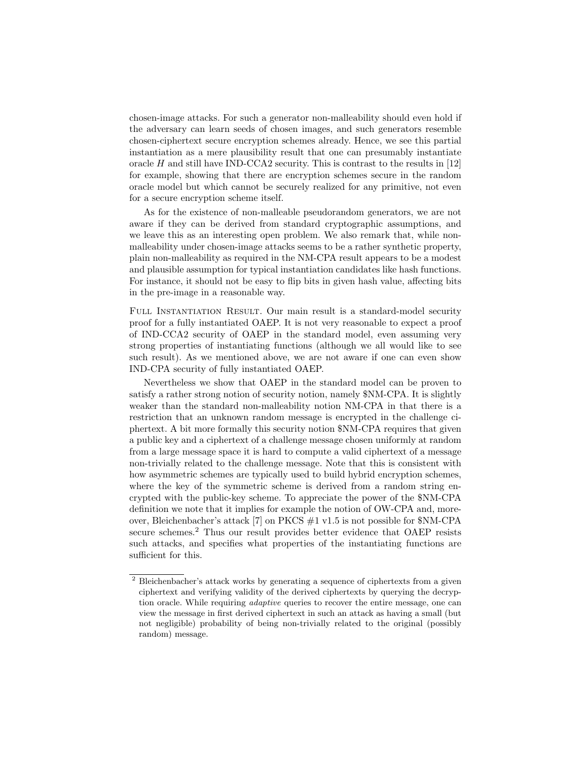chosen-image attacks. For such a generator non-malleability should even hold if the adversary can learn seeds of chosen images, and such generators resemble chosen-ciphertext secure encryption schemes already. Hence, we see this partial instantiation as a mere plausibility result that one can presumably instantiate oracle  $H$  and still have IND-CCA2 security. This is contrast to the results in [12] for example, showing that there are encryption schemes secure in the random oracle model but which cannot be securely realized for any primitive, not even for a secure encryption scheme itself.

As for the existence of non-malleable pseudorandom generators, we are not aware if they can be derived from standard cryptographic assumptions, and we leave this as an interesting open problem. We also remark that, while nonmalleability under chosen-image attacks seems to be a rather synthetic property, plain non-malleability as required in the NM-CPA result appears to be a modest and plausible assumption for typical instantiation candidates like hash functions. For instance, it should not be easy to flip bits in given hash value, affecting bits in the pre-image in a reasonable way.

FULL INSTANTIATION RESULT. Our main result is a standard-model security proof for a fully instantiated OAEP. It is not very reasonable to expect a proof of IND-CCA2 security of OAEP in the standard model, even assuming very strong properties of instantiating functions (although we all would like to see such result). As we mentioned above, we are not aware if one can even show IND-CPA security of fully instantiated OAEP.

Nevertheless we show that OAEP in the standard model can be proven to satisfy a rather strong notion of security notion, namely \$NM-CPA. It is slightly weaker than the standard non-malleability notion NM-CPA in that there is a restriction that an unknown random message is encrypted in the challenge ciphertext. A bit more formally this security notion \$NM-CPA requires that given a public key and a ciphertext of a challenge message chosen uniformly at random from a large message space it is hard to compute a valid ciphertext of a message non-trivially related to the challenge message. Note that this is consistent with how asymmetric schemes are typically used to build hybrid encryption schemes, where the key of the symmetric scheme is derived from a random string encrypted with the public-key scheme. To appreciate the power of the \$NM-CPA definition we note that it implies for example the notion of OW-CPA and, moreover, Bleichenbacher's attack [7] on PKCS #1 v1.5 is not possible for \$NM-CPA secure schemes.<sup>2</sup> Thus our result provides better evidence that OAEP resists such attacks, and specifies what properties of the instantiating functions are sufficient for this.

 $^2$  Bleichenbacher's attack works by generating a sequence of ciphertexts from a given ciphertext and verifying validity of the derived ciphertexts by querying the decryption oracle. While requiring *adaptive* queries to recover the entire message, one can view the message in first derived ciphertext in such an attack as having a small (but not negligible) probability of being non-trivially related to the original (possibly random) message.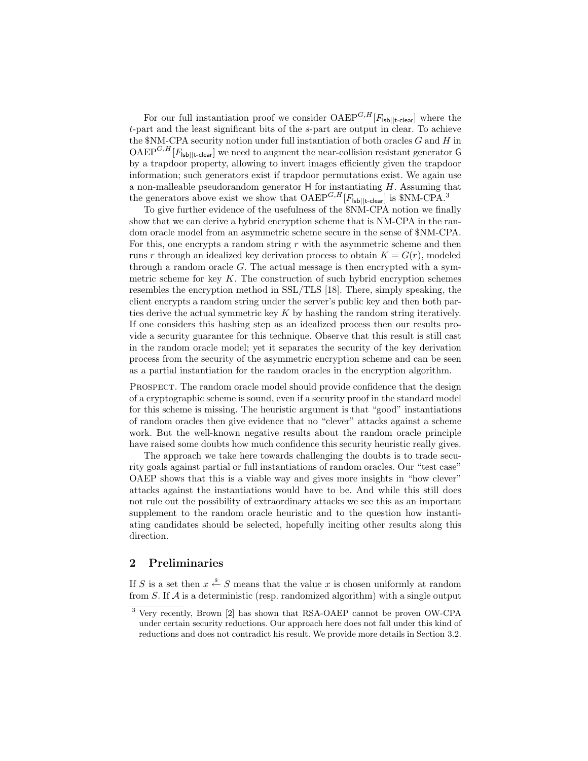For our full instantiation proof we consider  $O A E P^{G,H}[F_{\text{lsbl}|t-\text{clear}}]$  where the t-part and the least significant bits of the s-part are output in clear. To achieve the  $N$ M-CPA security notion under full instantiation of both oracles  $G$  and  $H$  in OAEP<sup>G,H</sup>[ $F_{\text{lsb}||\text{t-clear}}$ ] we need to augment the near-collision resistant generator G by a trapdoor property, allowing to invert images efficiently given the trapdoor information; such generators exist if trapdoor permutations exist. We again use a non-malleable pseudorandom generator  $H$  for instantiating  $H$ . Assuming that the generators above exist we show that  $O A E P^{G,H}[F_{\text{lsb}||\text{t-clear}}]$  is \$NM-CPA.<sup>3</sup>

To give further evidence of the usefulness of the \$NM-CPA notion we finally show that we can derive a hybrid encryption scheme that is NM-CPA in the random oracle model from an asymmetric scheme secure in the sense of \$NM-CPA. For this, one encrypts a random string  $r$  with the asymmetric scheme and then runs r through an idealized key derivation process to obtain  $K = G(r)$ , modeled through a random oracle  $G$ . The actual message is then encrypted with a symmetric scheme for key  $K$ . The construction of such hybrid encryption schemes resembles the encryption method in SSL/TLS [18]. There, simply speaking, the client encrypts a random string under the server's public key and then both parties derive the actual symmetric key K by hashing the random string iteratively. If one considers this hashing step as an idealized process then our results provide a security guarantee for this technique. Observe that this result is still cast in the random oracle model; yet it separates the security of the key derivation process from the security of the asymmetric encryption scheme and can be seen as a partial instantiation for the random oracles in the encryption algorithm.

PROSPECT. The random oracle model should provide confidence that the design of a cryptographic scheme is sound, even if a security proof in the standard model for this scheme is missing. The heuristic argument is that "good" instantiations of random oracles then give evidence that no "clever" attacks against a scheme work. But the well-known negative results about the random oracle principle have raised some doubts how much confidence this security heuristic really gives.

The approach we take here towards challenging the doubts is to trade security goals against partial or full instantiations of random oracles. Our "test case" OAEP shows that this is a viable way and gives more insights in "how clever" attacks against the instantiations would have to be. And while this still does not rule out the possibility of extraordinary attacks we see this as an important supplement to the random oracle heuristic and to the question how instantiating candidates should be selected, hopefully inciting other results along this direction.

### 2 Preliminaries

If S is a set then  $x \stackrel{s}{\leftarrow} S$  means that the value x is chosen uniformly at random from  $S$ . If  $\mathcal A$  is a deterministic (resp. randomized algorithm) with a single output

<sup>3</sup> Very recently, Brown [2] has shown that RSA-OAEP cannot be proven OW-CPA under certain security reductions. Our approach here does not fall under this kind of reductions and does not contradict his result. We provide more details in Section 3.2.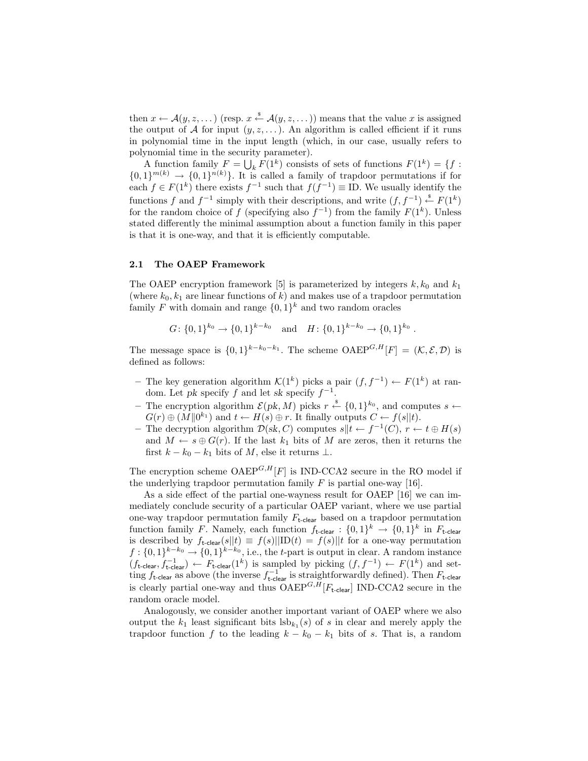then  $x \leftarrow \mathcal{A}(y, z, \dots)$  (resp.  $x \stackrel{\$}{\leftarrow} \mathcal{A}(y, z, \dots)$ ) means that the value x is assigned the output of A for input  $(y, z, \ldots)$ . An algorithm is called efficient if it runs in polynomial time in the input length (which, in our case, usually refers to polynomial time in the security parameter).

A function family  $F = \bigcup_k F(1^k)$  consists of sets of functions  $F(1^k) = \{f :$  $\{0,1\}^{m(k)} \rightarrow \{0,1\}^{n(k)}\}.$  It is called a family of trapdoor permutations if for each  $f \in F(1^k)$  there exists  $f^{-1}$  such that  $f(f^{-1}) \equiv \text{ID}$ . We usually identify the functions f and  $f^{-1}$  simply with their descriptions, and write  $(f, f^{-1}) \stackrel{\$}{\leftarrow} F(1^k)$ for the random choice of f (specifying also  $f^{-1}$ ) from the family  $F(1^k)$ . Unless stated differently the minimal assumption about a function family in this paper is that it is one-way, and that it is efficiently computable.

#### 2.1 The OAEP Framework

The OAEP encryption framework [5] is parameterized by integers  $k, k_0$  and  $k_1$ (where  $k_0, k_1$  are linear functions of k) and makes use of a trapdoor permutation family F with domain and range  $\{0,1\}^k$  and two random oracles

$$
G: \{0,1\}^{k_0} \to \{0,1\}^{k-k_0}
$$
 and  $H: \{0,1\}^{k-k_0} \to \{0,1\}^{k_0}$ .

The message space is  $\{0,1\}^{k-k_0-k_1}$ . The scheme  $\text{OAEP}^{G,H}[F] = (\mathcal{K}, \mathcal{E}, \mathcal{D})$  is defined as follows:

- The key generation algorithm  $\mathcal{K}(1^k)$  picks a pair  $(f, f^{-1}) \leftarrow F(1^k)$  at random. Let pk specify f and let sk specify  $f^{-1}$ .
- The encryption algorithm  $\mathcal{E}(pk, M)$  picks  $r \stackrel{\$}{\leftarrow} \{0, 1\}^{k_0}$ , and computes  $s \leftarrow$  $G(r) \oplus (M||0^{k_1})$  and  $t \leftarrow H(s) \oplus r$ . It finally outputs  $C \leftarrow f(s||t)$ .
- The decryption algorithm  $\mathcal{D}(sk, C)$  computes  $s \mid t \leftarrow f^{-1}(C), r \leftarrow t \oplus H(s)$ and  $M \leftarrow s \oplus G(r)$ . If the last  $k_1$  bits of M are zeros, then it returns the first  $k - k_0 - k_1$  bits of M, else it returns  $\perp$ .

The encryption scheme  $O A E P^{G,H}[F]$  is IND-CCA2 secure in the RO model if the underlying trapdoor permutation family  $F$  is partial one-way [16].

As a side effect of the partial one-wayness result for OAEP [16] we can immediately conclude security of a particular OAEP variant, where we use partial one-way trapdoor permutation family  $F_{t-\text{clear}}$  based on a trapdoor permutation function family F. Namely, each function  $f_{t-\text{clear}}: \{0,1\}^k \to \{0,1\}^k$  in  $F_{t-\text{clear}}$ is described by  $f_{t-\text{clear}}(s||t) \equiv f(s)||ID(t) = f(s)||t$  for a one-way permutation  $f: \{0,1\}^{k-k_0} \to \{0,1\}^{k-k_0}$ , i.e., the t-part is output in clear. A random instance  $(f_{t-\text{clear}}, f_{t-\text{clear}}^{-1}) \leftarrow F_{t-\text{clear}}(1^k)$  is sampled by picking  $(f, f^{-1}) \leftarrow F(1^k)$  and setting  $f_{\text{t-clear}}$  as above (the inverse  $f_{\text{t-clear}}^{-1}$  is straightforwardly defined). Then  $F_{\text{t-clear}}$ is clearly partial one-way and thus  $O A E P^{G,H}[F_{t-\text{clear}}]$  IND-CCA2 secure in the random oracle model.

Analogously, we consider another important variant of OAEP where we also output the  $k_1$  least significant bits  $\text{lsb}_{k_1}(s)$  of s in clear and merely apply the trapdoor function f to the leading  $k - k_0 - k_1$  bits of s. That is, a random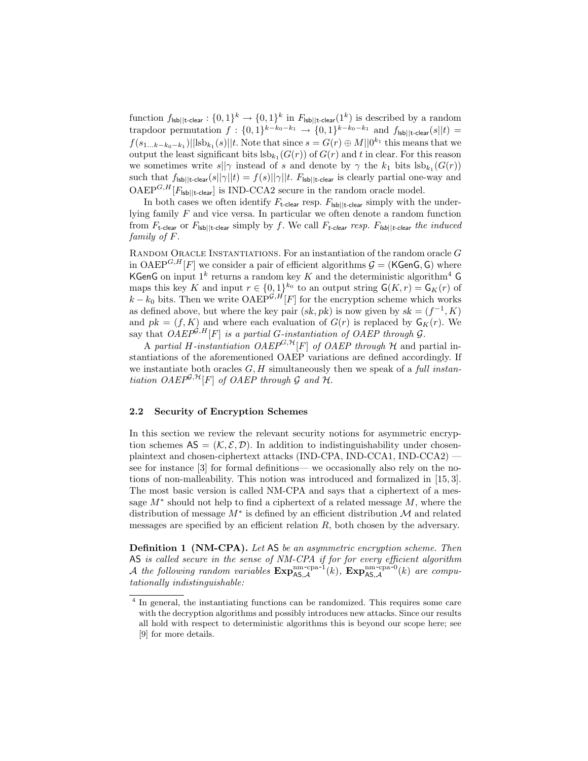function  $f_{\text{lsb}||\text{t-clear}}: \{0,1\}^k \to \{0,1\}^k$  in  $F_{\text{lsb}||\text{t-clear}}(1^k)$  is described by a random trapdoor permutation  $f: \{0,1\}^{k-k_0-k_1} \to \{0,1\}^{k-k_0-k_1}$  and  $f_{\text{lsb}||\text{t-clear}}(s||t) =$  $f(s_{1...k-k_0-k_1})||\text{lsb}_{k_1}(s)||t.$  Note that since  $s = G(r) \oplus M||0^{k_1}$  this means that we output the least significant bits  $\mathrm{lsb}_{k_1}(G(r))$  of  $G(r)$  and t in clear. For this reason we sometimes write  $s||\gamma$  instead of s and denote by  $\gamma$  the  $k_1$  bits  $\text{lsb}_{k_1}(G(r))$ such that  $f_{\text{lsb}||\text{t-clear}}(s||\gamma||t) = f(s)||\gamma||t$ .  $F_{\text{lsb}||\text{t-clear}}$  is clearly partial one-way and  $OAEP^{G,H}[F_{\text{lsb||t-clear}}]$  is IND-CCA2 secure in the random oracle model.

In both cases we often identify  $F_{t-\text{clear}}$  resp.  $F_{\text{lsb||t-\text{clear}}}$  simply with the underlying family  $F$  and vice versa. In particular we often denote a random function from  $F_{t-\text{clear}}$  or  $F_{\text{lsb}||t-\text{clear}}$  simply by f. We call  $F_{t-\text{clear}}$  resp.  $F_{\text{lsb}||t-\text{clear}}$  the induced family of F.

RANDOM ORACLE INSTANTIATIONS. For an instantiation of the random oracle  $G$ in OAEP<sup>G,H</sup>[F] we consider a pair of efficient algorithms  $\mathcal{G} =$  (KGenG, G) where KGenG on input  $1^k$  returns a random key K and the deterministic algorithm<sup>4</sup> G maps this key K and input  $r \in \{0,1\}^{k_0}$  to an output string  $\mathsf{G}(K,r) = \mathsf{G}_K(r)$  of  $k - k_0$  bits. Then we write  $\text{OAEP}^{\mathcal{G},H}[F]$  for the encryption scheme which works as defined above, but where the key pair  $(sk, pk)$  is now given by  $sk = (f^{-1}, K)$ and  $pk = (f, K)$  and where each evaluation of  $G(r)$  is replaced by  $G_K(r)$ . We say that  $OAEP^{\mathcal{G},H}[F]$  is a partial G-instantiation of  $OAEP$  through  $\mathcal{G}$ .

A partial H-instantiation OAEP<sup>G,H</sup>[F] of OAEP through H and partial instantiations of the aforementioned OAEP variations are defined accordingly. If we instantiate both oracles  $G, H$  simultaneously then we speak of a *full instan*tiation  $O A E P^{\mathcal{G},\mathcal{H}}[F]$  of  $O A E P$  through  $\mathcal G$  and  $\mathcal H$ .

#### 2.2 Security of Encryption Schemes

In this section we review the relevant security notions for asymmetric encryption schemes  $AS = (K, \mathcal{E}, \mathcal{D})$ . In addition to indistinguishability under chosenplaintext and chosen-ciphertext attacks (IND-CPA, IND-CCA1, IND-CCA2) see for instance [3] for formal definitions— we occasionally also rely on the notions of non-malleability. This notion was introduced and formalized in [15, 3]. The most basic version is called NM-CPA and says that a ciphertext of a message  $M^*$  should not help to find a ciphertext of a related message  $M$ , where the distribution of message  $M^*$  is defined by an efficient distribution  $\mathcal M$  and related messages are specified by an efficient relation  $R$ , both chosen by the adversary.

Definition 1 (NM-CPA). Let AS be an asymmetric encryption scheme. Then AS is called secure in the sense of NM-CPA if for for every efficient algorithm<br>A the following random variables  $\mathbf{Exp}_{AS,A}^{\text{nm-cpa-1}}(k)$ ,  $\mathbf{Exp}_{AS,A}^{\text{nm-cpa-0}}(k)$  are computationally indistinguishable:

<sup>&</sup>lt;sup>4</sup> In general, the instantiating functions can be randomized. This requires some care with the decryption algorithms and possibly introduces new attacks. Since our results all hold with respect to deterministic algorithms this is beyond our scope here; see [9] for more details.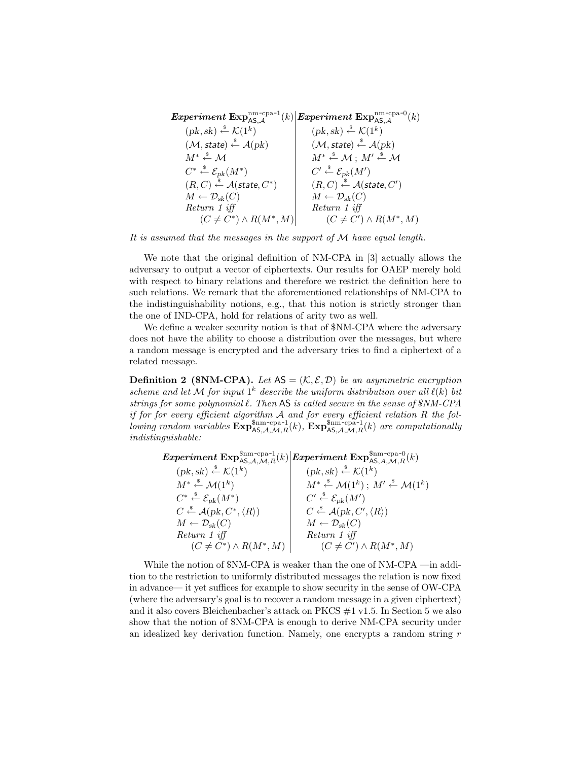$Experiment\; {\rm Exp}^{\rm nm\hbox{-}cpa\hbox{-}1}_{\rm AS, \mathcal A}(k) \big| Experiment\; {\rm Exp}^{\rm nm\hbox{-}cpa\hbox{-}0}(k)$  $(pk, sk) \stackrel{\$}{\leftarrow} \mathcal{K}(1^k)$  $(\mathcal{M},$  state)  $\stackrel{\hspace{0.1em}\mathsf{\scriptscriptstyle\$}}{\leftarrow} \mathcal{A}(pk)$  $M^* \overset{\hspace{0.1em}\mathsf{\scriptscriptstyle\$}}{\leftarrow} \mathcal{M}$  $C^* \overset{\hspace{0.1em}\mathsf{\scriptscriptstyle\$}}{\leftarrow} \mathcal{E}_{pk}(M^*)$  $(R, C) \stackrel{\$}{\leftarrow} \mathcal{A}(\text{state}, C^*)$  $M \leftarrow \mathcal{D}_{sk}(C)$ Return 1 iff  $(C \neq C^*) \wedge R(M^*, M)$  $(pk, sk) \stackrel{\$}{\leftarrow} \mathcal{K}(1^k)$  $(\mathcal{M},$  state $) \overset{\hspace{0.1em}\mathsf{\scriptscriptstyle\$}}{\leftarrow} \mathcal{A}(pk)$  $M^* \stackrel{\hspace{0.1em}\mathsf{\scriptscriptstyle\$}}{\leftarrow} \mathcal{M} \; ; \; M' \stackrel{\hspace{0.1em}\mathsf{\scriptscriptstyle\$}}{\leftarrow} \mathcal{M}$  $C' \overset{\hspace{0.1em}\mathsf{\scriptscriptstyle\$}}{\leftarrow} \mathcal{E}_{pk}(M')$  $(R, C) \stackrel{\$}{\leftarrow} \mathcal{A}(\mathsf{state}, C')$  $M \leftarrow \mathcal{D}_{\text{sk}}(C)$ Return 1 iff  $(C \neq C') \wedge R(M^*, M)$ 

It is assumed that the messages in the support of  $M$  have equal length.

We note that the original definition of NM-CPA in [3] actually allows the adversary to output a vector of ciphertexts. Our results for OAEP merely hold with respect to binary relations and therefore we restrict the definition here to such relations. We remark that the aforementioned relationships of NM-CPA to the indistinguishability notions, e.g., that this notion is strictly stronger than the one of IND-CPA, hold for relations of arity two as well.

We define a weaker security notion is that of \$NM-CPA where the adversary does not have the ability to choose a distribution over the messages, but where a random message is encrypted and the adversary tries to find a ciphertext of a related message.

**Definition 2 (\$NM-CPA).** Let  $AS = (K, \mathcal{E}, \mathcal{D})$  be an asymmetric encryption scheme and let M for input  $1^k$  describe the uniform distribution over all  $\ell(k)$  bit strings for some polynomial  $\ell$ . Then AS is called secure in the sense of \$NM-CPA if for for every efficient algorithm A and for every efficient relation R the fol-<br>lowing random variables  $\mathbf{Exp}_{AS,\mathcal{A},\mathcal{M},R}^{s_{\text{nm-cpa-1}}}(k)$ ,  $\mathbf{Exp}_{AS,\mathcal{A},\mathcal{M},R}^{s_{\text{nm-cpa-1}}}(k)$  are computationally indistinguishable:

|                                                                       | $\textit{Experiment}~\text{Exp}_{\textsf{AS.A.M.}R}^{\text{\$nm-cpa-1}}(k) \big  \textit{Experiment}~\text{Exp}_{\textsf{AS.A.M.}R}^{\text{\$nm-cpa-0}}(k)$ |
|-----------------------------------------------------------------------|-------------------------------------------------------------------------------------------------------------------------------------------------------------|
| $(pk, sk) \stackrel{\$}{\leftarrow} \mathcal{K}(1^k)$                 | $(pk, sk) \stackrel{\$}{\leftarrow} \mathcal{K}(1^k)$                                                                                                       |
| $M^* \stackrel{\$}{\leftarrow} \mathcal{M}(1^k)$                      | $M^* \stackrel{\$}{\leftarrow} \mathcal{M}(1^k)$ ; $M' \stackrel{\$}{\leftarrow} \mathcal{M}(1^k)$                                                          |
| $C^* \xleftarrow{\$} \mathcal{E}_{pk}(M^*)$                           | $C' \overset{\hspace{0.1em}\mathsf{\scriptscriptstyle\$}}{\leftarrow} \mathcal{E}_{\text{pk}}(M')$                                                          |
| $C \stackrel{\$}{\leftarrow} \mathcal{A}(pk, C^*, \langle R \rangle)$ | $C \stackrel{\$}{\leftarrow} \mathcal{A}(pk, C', \langle R \rangle)$                                                                                        |
| $M \leftarrow \mathcal{D}_{sk}(C)$                                    | $M \leftarrow \mathcal{D}_{sk}(C)$                                                                                                                          |

Return 1 iff

 $(C \neq C') \wedge R(M^*, M)$ 

Return 1 iff

 $(C \neq C^*) \wedge R(M^*, M)$ 

While the notion of  $N$ M-CPA is weaker than the one of NM-CPA —in addition to the restriction to uniformly distributed messages the relation is now fixed in advance— it yet suffices for example to show security in the sense of OW-CPA (where the adversary's goal is to recover a random message in a given ciphertext) and it also covers Bleichenbacher's attack on PKCS #1 v1.5. In Section 5 we also show that the notion of \$NM-CPA is enough to derive NM-CPA security under an idealized key derivation function. Namely, one encrypts a random string r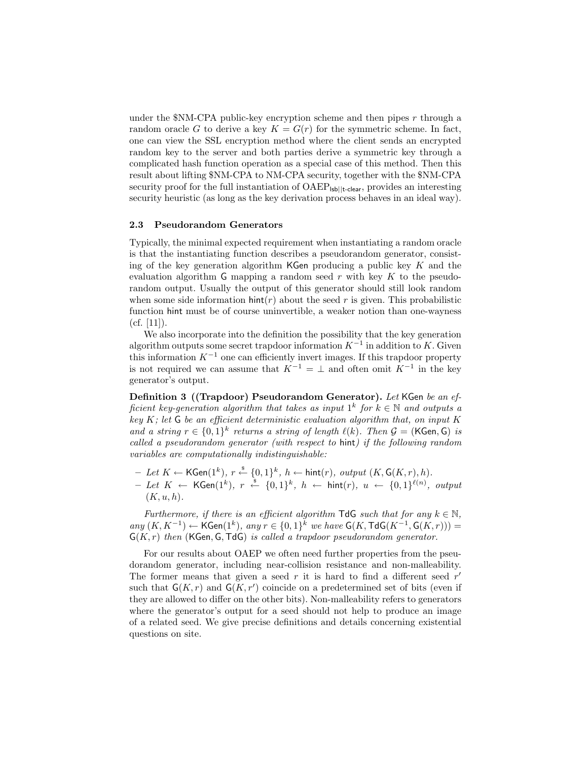under the  $N$ M-CPA public-key encryption scheme and then pipes r through a random oracle G to derive a key  $K = G(r)$  for the symmetric scheme. In fact, one can view the SSL encryption method where the client sends an encrypted random key to the server and both parties derive a symmetric key through a complicated hash function operation as a special case of this method. Then this result about lifting \$NM-CPA to NM-CPA security, together with the \$NM-CPA security proof for the full instantiation of  $O A E P_{\text{lsb}||\text{t-clear}}$ , provides an interesting security heuristic (as long as the key derivation process behaves in an ideal way).

#### 2.3 Pseudorandom Generators

Typically, the minimal expected requirement when instantiating a random oracle is that the instantiating function describes a pseudorandom generator, consisting of the key generation algorithm KGen producing a public key  $K$  and the evaluation algorithm G mapping a random seed  $r$  with key  $K$  to the pseudorandom output. Usually the output of this generator should still look random when some side information  $\text{hint}(r)$  about the seed r is given. This probabilistic function hint must be of course uninvertible, a weaker notion than one-wayness  $(cf. [11]).$ 

We also incorporate into the definition the possibility that the key generation algorithm outputs some secret trapdoor information  $K^{-1}$  in addition to K. Given this information  $K^{-1}$  one can efficiently invert images. If this trapdoor property is not required we can assume that  $K^{-1} = \perp$  and often omit  $K^{-1}$  in the key generator's output.

Definition 3 ((Trapdoor) Pseudorandom Generator). Let KGen be an efficient key-generation algorithm that takes as input  $1^k$  for  $k \in \mathbb{N}$  and outputs a key  $K$ ; let  $G$  be an efficient deterministic evaluation algorithm that, on input  $K$ and a string  $r \in \{0,1\}^k$  returns a string of length  $\ell(k)$ . Then  $\mathcal{G} =$  (KGen, G) is called a pseudorandom generator (with respect to hint) if the following random variables are computationally indistinguishable:

 $-$  Let  $K \leftarrow \mathsf{KGen}(1^k)$ ,  $r \stackrel{\$}{\leftarrow} \{0,1\}^k$ ,  $h \leftarrow \mathsf{hint}(r)$ , output  $(K, \mathsf{G}(K, r), h)$ .  $-$  Let  $K$   $\leftarrow$  KGen $(1^k),~r$   $\stackrel{\hspace{0.1em}\mathsf{\scriptscriptstyle\$}}{ \scriptscriptstyle\leftarrow}~\{0,1\}^k,~h$   $\leftarrow$  hint $(r),~u$   $\leftarrow$   $\{0,1\}^{\ell(n)},~output$  $(K, u, h).$ 

Furthermore, if there is an efficient algorithm  $\mathsf{TdG}$  such that for any  $k \in \mathbb{N}$ , any  $(K, K^{-1})$  ← KGen(1<sup>k</sup>), any  $r \in \{0,1\}^k$  we have  $G(K, TdG(K^{-1}, G(K,r)))$  =  $G(K, r)$  then (KGen, G, TdG) is called a trapdoor pseudorandom generator.

For our results about OAEP we often need further properties from the pseudorandom generator, including near-collision resistance and non-malleability. The former means that given a seed  $r$  it is hard to find a different seed  $r'$ such that  $\mathsf{G}(K,r)$  and  $\mathsf{G}(K,r')$  coincide on a predetermined set of bits (even if they are allowed to differ on the other bits). Non-malleability refers to generators where the generator's output for a seed should not help to produce an image of a related seed. We give precise definitions and details concerning existential questions on site.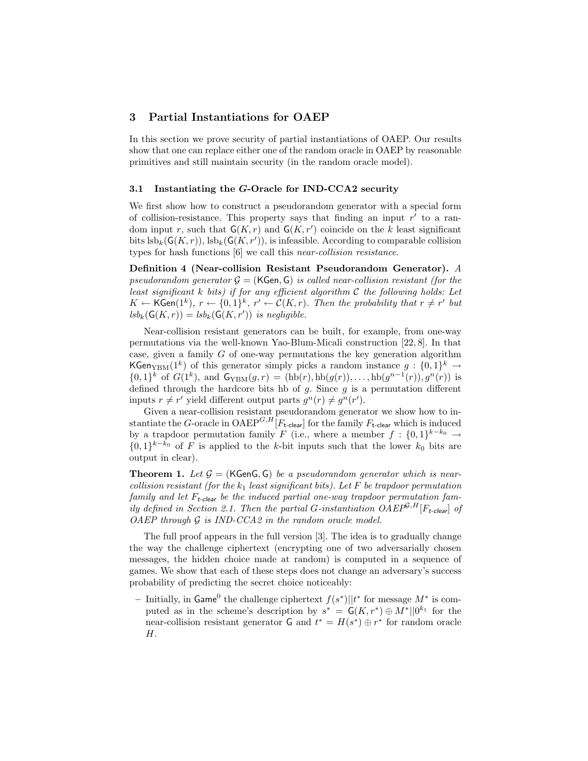# 3 Partial Instantiations for OAEP

In this section we prove security of partial instantiations of OAEP. Our results show that one can replace either one of the random oracle in OAEP by reasonable primitives and still maintain security (in the random oracle model).

#### 3.1 Instantiating the G-Oracle for IND-CCA2 security

We first show how to construct a pseudorandom generator with a special form of collision-resistance. This property says that finding an input  $r'$  to a random input r, such that  $G(K,r)$  and  $G(K,r')$  coincide on the k least significant bits  $\text{lsb}_k(\mathsf{G}(K,r)), \text{lsb}_k(\mathsf{G}(K,r'))$ , is infeasible. According to comparable collision types for hash functions [6] we call this near-collision resistance.

Definition 4 (Near-collision Resistant Pseudorandom Generator). A pseudorandom generator  $G = (KGen, G)$  is called near-collision resistant (for the least significant k bits) if for any efficient algorithm  $\mathcal C$  the following holds: Let  $K \leftarrow \mathsf{KGen}(1^k), r \leftarrow \{0,1\}^k, r' \leftarrow \mathcal{C}(K,r)$ . Then the probability that  $r \neq r'$  but  $lsb_k(G(K,r)) = lsb_k(G(K,r'))$  is negligible.

Near-collision resistant generators can be built, for example, from one-way permutations via the well-known Yao-Blum-Micali construction [22, 8]. In that case, given a family  $G$  of one-way permutations the key generation algorithm KGen<sub>YBM</sub>(1<sup>k</sup>) of this generator simply picks a random instance  $g: \{0,1\}^k \to$  $\{0,1\}^k$  of  $G(1^k)$ , and  $G_{YBM}(g,r) = (hb(r), hb(g(r)), \ldots, hb(g^{n-1}(r)), g^n(r))$  is defined through the hardcore bits hb of  $g$ . Since  $g$  is a permutation different inputs  $r \neq r'$  yield different output parts  $g^{n}(r) \neq g^{n}(r')$ .

Given a near-collision resistant pseudorandom generator we show how to instantiate the G-oracle in OAEP<sup>G,H</sup>[ $F_{t\text{-clear}}$ ] for the family  $F_{t\text{-clear}}$  which is induced by a trapdoor permutation family F (i.e., where a member  $f: \{0,1\}^{k-k_0} \to$  $\{0,1\}^{k-k_0}$  of F is applied to the k-bit inputs such that the lower  $k_0$  bits are output in clear).

**Theorem 1.** Let  $\mathcal{G} = (KGenG, G)$  be a pseudorandom generator which is nearcollision resistant (for the  $k_1$  least significant bits). Let F be trapdoor permutation family and let  $F_{t-\text{clear}}$  be the induced partial one-way trapdoor permutation family defined in Section 2.1. Then the partial G-instantiation  $OAEP^{\mathcal{G},H}[F_{t-\text{clear}}]$  of OAEP through  $G$  is IND-CCA2 in the random oracle model.

The full proof appears in the full version [3]. The idea is to gradually change the way the challenge ciphertext (encrypting one of two adversarially chosen messages, the hidden choice made at random) is computed in a sequence of games. We show that each of these steps does not change an adversary's success probability of predicting the secret choice noticeably:

− Initially, in Game<sup>0</sup> the challenge ciphertext  $f(s^*)$ || $t^*$  for message  $M^*$  is computed as in the scheme's description by  $s^* = \mathsf{G}(K,r^*) \oplus M^* || 0^{k_1}$  for the near-collision resistant generator G and  $t^* = H(s^*) \oplus r^*$  for random oracle H.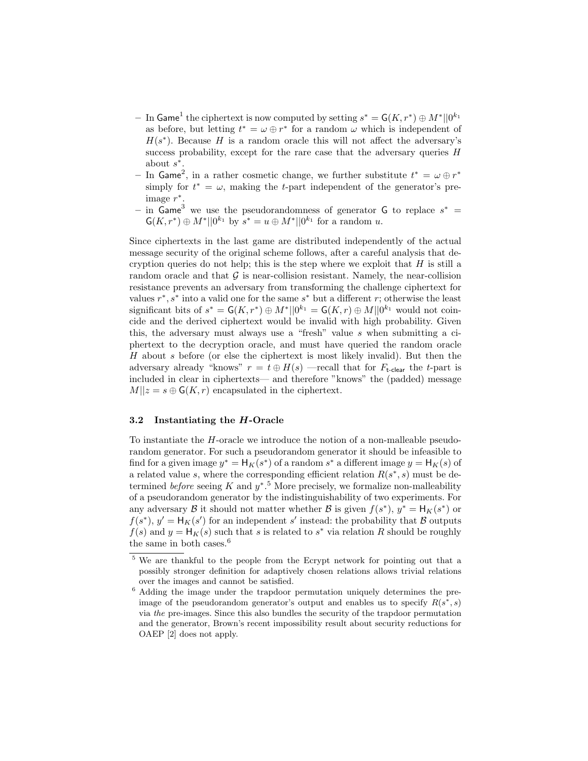- − In Game<sup>1</sup> the ciphertext is now computed by setting  $s^* = G(K, r^*) \oplus M^* || 0^{k_1}$ as before, but letting  $t^* = \omega \oplus r^*$  for a random  $\omega$  which is independent of  $H(s^*)$ . Because H is a random oracle this will not affect the adversary's success probability, except for the rare case that the adversary queries  $H$ about  $s^*$ .
- − In Game<sup>2</sup>, in a rather cosmetic change, we further substitute  $t^* = ω ⊕ r^*$ simply for  $t^* = \omega$ , making the *t*-part independent of the generator's preimage  $r^*$ .
- in Game<sup>3</sup> we use the pseudorandomness of generator G to replace  $s^*$  =  $\mathsf{G}(K,r^*)\oplus M^*||0^{k_1}$  by  $s^*=u\oplus M^*||0^{k_1}$  for a random u.

Since ciphertexts in the last game are distributed independently of the actual message security of the original scheme follows, after a careful analysis that decryption queries do not help; this is the step where we exploit that  $H$  is still a random oracle and that  $\mathcal G$  is near-collision resistant. Namely, the near-collision resistance prevents an adversary from transforming the challenge ciphertext for values  $r^*$ ,  $s^*$  into a valid one for the same  $s^*$  but a different r; otherwise the least significant bits of  $s^* = \mathsf{G}(K,r^*) \oplus M^* || 0^{k_1} = \mathsf{G}(K,r) \oplus M || 0^{k_1}$  would not coincide and the derived ciphertext would be invalid with high probability. Given this, the adversary must always use a "fresh" value s when submitting a ciphertext to the decryption oracle, and must have queried the random oracle  $H$  about s before (or else the ciphertext is most likely invalid). But then the adversary already "knows"  $r = t \oplus H(s)$  —recall that for  $F_{t-\text{clear}}$  the t-part is included in clear in ciphertexts— and therefore "knows" the (padded) message  $M||z = s \oplus G(K, r)$  encapsulated in the ciphertext.

### 3.2 Instantiating the H-Oracle

To instantiate the H-oracle we introduce the notion of a non-malleable pseudorandom generator. For such a pseudorandom generator it should be infeasible to find for a given image  $y^* = H_K(s^*)$  of a random  $s^*$  a different image  $y = H_K(s)$  of a related value s, where the corresponding efficient relation  $R(s^*, s)$  must be determined *before* seeing K and  $y^*$ <sup>5</sup>. More precisely, we formalize non-malleability of a pseudorandom generator by the indistinguishability of two experiments. For any adversary  $\mathcal B$  it should not matter whether  $\mathcal B$  is given  $f(s^*)$ ,  $y^* = H_K(s^*)$  or  $f(s^*)$ ,  $y' = H_K(s')$  for an independent s' instead: the probability that B outputs  $f(s)$  and  $y = H_K(s)$  such that s is related to s<sup>\*</sup> via relation R should be roughly the same in both cases.<sup>6</sup>

<sup>5</sup> We are thankful to the people from the Ecrypt network for pointing out that a possibly stronger definition for adaptively chosen relations allows trivial relations over the images and cannot be satisfied.

<sup>6</sup> Adding the image under the trapdoor permutation uniquely determines the preimage of the pseudorandom generator's output and enables us to specify  $R(s^*, s)$ via the pre-images. Since this also bundles the security of the trapdoor permutation and the generator, Brown's recent impossibility result about security reductions for OAEP [2] does not apply.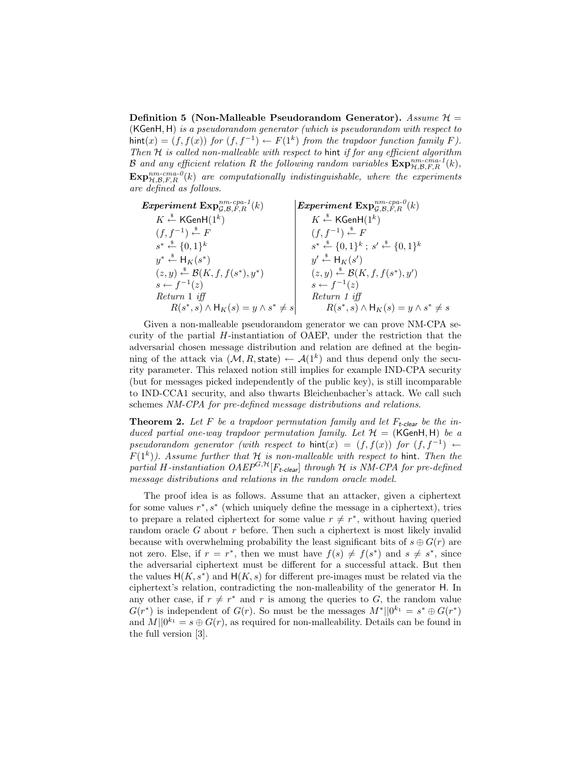Definition 5 (Non-Malleable Pseudorandom Generator). Assume  $\mathcal{H} =$ (KGenH, H) is a pseudorandom generator (which is pseudorandom with respect to hint(x) =  $(f, f(x))$  for  $(f, f^{-1}) \leftarrow F(1^k)$  from the trapdoor function family F). Then  $H$  is called non-malleable with respect to hint if for any efficient algorithm B and any efficient relation R the following random variables  $\text{Exp}_{\mathcal{H},\mathcal{B},F,R}^{nm-cma-1}(k)$ ,  $\text{Exp}_{\mathcal{H},\mathcal{B},F,R}^{nm-cma-0}(k)$  are computationally indistinguishable, where the experiments are defined as follows.

| ${\bm Experiment ~{\rm Exp}_{\mathcal{G},\mathcal{B},F,R}^{nm\text{-}cpa\text{-}1}(k)}$ | $ \textit{Experiment}~\text{Exp}_{\mathcal{G}, \mathcal{B}, F.R}^{nm\text{-}cpa\text{-}0}(k) $ |
|-----------------------------------------------------------------------------------------|------------------------------------------------------------------------------------------------|
| $K \stackrel{\hspace{0.1em}\mathsf{\scriptscriptstyle\$}}{\leftarrow}$ KGenH $(1^k)$    | $K \stackrel{\hspace{0.1em}\mathsf{\scriptscriptstyle\$}}{\leftarrow}$ KGenH $(1^k)$           |
| $(f, f^{-1}) \stackrel{\$}{\leftarrow} F$                                               | $(f, f^{-1}) \stackrel{\$}{\leftarrow} F$                                                      |
| $s^* \stackrel{\$}{\leftarrow} \{0,1\}^k$                                               | $s^* \stackrel{\$}{\leftarrow} \{0,1\}^k$ ; $s' \stackrel{\$}{\leftarrow} \{0,1\}^k$           |
| $y^* \stackrel{\$}{\leftarrow} \mathsf{H}_K(s^*)$                                       | $y' \stackrel{\hspace{0.1em}\mathsf{\scriptscriptstyle\$}}{\leftarrow} \mathsf{H}_K(s')$       |
| $(z, y) \stackrel{\$}{\leftarrow} \mathcal{B}(K, f, f(s^*), y^*)$                       | $(z, y) \stackrel{\$}{\leftarrow} \mathcal{B}(K, f, f(s^*), y')$                               |
| $s \leftarrow f^{-1}(z)$                                                                | $s \leftarrow f^{-1}(z)$                                                                       |
| $Return 1$ iff                                                                          | Return 1 iff                                                                                   |
| $R(s^*,s) \wedge H_K(s) = y \wedge s^* \neq s$                                          | $R(s^*,s) \wedge H_K(s) = y \wedge s^* \neq s$                                                 |

Given a non-malleable pseudorandom generator we can prove NM-CPA security of the partial H-instantiation of OAEP, under the restriction that the adversarial chosen message distribution and relation are defined at the beginning of the attack via  $(M, R, \text{state}) \leftarrow \mathcal{A}(1^k)$  and thus depend only the security parameter. This relaxed notion still implies for example IND-CPA security (but for messages picked independently of the public key), is still incomparable to IND-CCA1 security, and also thwarts Bleichenbacher's attack. We call such schemes NM-CPA for pre-defined message distributions and relations.

**Theorem 2.** Let F be a trapdoor permutation family and let  $F_{t-\text{clear}}$  be the induced partial one-way trapdoor permutation family. Let  $\mathcal{H} = (KGenH, H)$  be a pseudorandom generator (with respect to  $\text{hint}(x) = (f, f(x))$  for  $(f, f^{-1}) \leftarrow$  $F(1^k)$ ). Assume further that H is non-malleable with respect to hint. Then the partial H-instantiation  $OAEP^{G,H}[F_{t-\text{clear}}]$  through H is NM-CPA for pre-defined message distributions and relations in the random oracle model.

The proof idea is as follows. Assume that an attacker, given a ciphertext for some values  $r^*$ ,  $s^*$  (which uniquely define the message in a ciphertext), tries to prepare a related ciphertext for some value  $r \neq r^*$ , without having queried random oracle G about  $r$  before. Then such a ciphertext is most likely invalid because with overwhelming probability the least significant bits of  $s \oplus G(r)$  are not zero. Else, if  $r = r^*$ , then we must have  $f(s) \neq f(s^*)$  and  $s \neq s^*$ , since the adversarial ciphertext must be different for a successful attack. But then the values  $H(K, s^*)$  and  $H(K, s)$  for different pre-images must be related via the ciphertext's relation, contradicting the non-malleability of the generator H. In any other case, if  $r \neq r^*$  and r is among the queries to G, the random value  $G(r^*)$  is independent of  $G(r)$ . So must be the messages  $M^*||0^{k_1} = s^* \oplus G(r^*)$ and  $M||0^{k_1} = s \oplus G(r)$ , as required for non-malleability. Details can be found in the full version [3].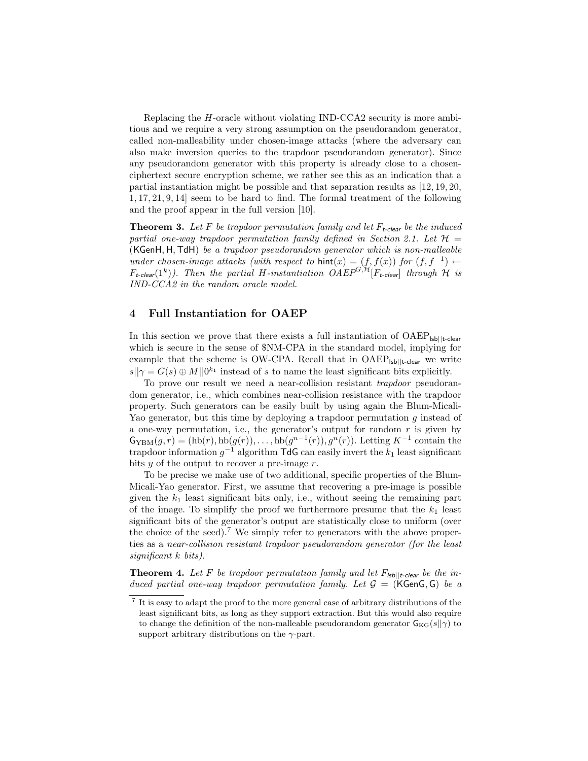Replacing the H-oracle without violating IND-CCA2 security is more ambitious and we require a very strong assumption on the pseudorandom generator, called non-malleability under chosen-image attacks (where the adversary can also make inversion queries to the trapdoor pseudorandom generator). Since any pseudorandom generator with this property is already close to a chosenciphertext secure encryption scheme, we rather see this as an indication that a partial instantiation might be possible and that separation results as [12, 19, 20, 1, 17, 21, 9, 14] seem to be hard to find. The formal treatment of the following and the proof appear in the full version [10].

**Theorem 3.** Let F be trapdoor permutation family and let  $F_{t-\text{clear}}$  be the induced partial one-way trapdoor permutation family defined in Section 2.1. Let  $\mathcal{H} =$ (KGenH, H,TdH) be a trapdoor pseudorandom generator which is non-malleable under chosen-image attacks (with respect to  $\text{hint}(x) = (f, f(x))$  for  $(f, f^{-1})$  ←  $F_{t\text{-clear}}(1^k)$ ). Then the partial H-instantiation  $OAEP^{G,\mathcal{H}}[F_{t\text{-clear}}]$  through H is IND-CCA2 in the random oracle model.

### 4 Full Instantiation for OAEP

In this section we prove that there exists a full instantiation of  $OAEP_{\text{lsb||t-clear}}$ which is secure in the sense of \$NM-CPA in the standard model, implying for example that the scheme is OW-CPA. Recall that in  $OAEP_{\text{lsb}||\text{t-clear}}$  we write  $s||\gamma = G(s) \oplus M||0^{k_1}$  instead of s to name the least significant bits explicitly.

To prove our result we need a near-collision resistant trapdoor pseudorandom generator, i.e., which combines near-collision resistance with the trapdoor property. Such generators can be easily built by using again the Blum-Micali-Yao generator, but this time by deploying a trapdoor permutation  $g$  instead of a one-way permutation, i.e., the generator's output for random  $r$  is given by  $\mathsf{G}_{YBM}(g,r) = (\text{hb}(r), \text{hb}(g(r)), \ldots, \text{hb}(g^{n-1}(r)), g^{n}(r)).$  Letting  $K^{-1}$  contain the trapdoor information  $g^{-1}$  algorithm **TdG** can easily invert the  $k_1$  least significant bits  $y$  of the output to recover a pre-image  $r$ .

To be precise we make use of two additional, specific properties of the Blum-Micali-Yao generator. First, we assume that recovering a pre-image is possible given the  $k_1$  least significant bits only, i.e., without seeing the remaining part of the image. To simplify the proof we furthermore presume that the  $k_1$  least significant bits of the generator's output are statistically close to uniform (over the choice of the seed).<sup>7</sup> We simply refer to generators with the above properties as a near-collision resistant trapdoor pseudorandom generator (for the least significant k bits).

**Theorem 4.** Let F be trapdoor permutation family and let  $F_{\text{lsb}||t-\text{clear}}$  be the induced partial one-way trapdoor permutation family. Let  $\mathcal{G} = (KGenG, G)$  be a

<sup>7</sup> It is easy to adapt the proof to the more general case of arbitrary distributions of the least significant bits, as long as they support extraction. But this would also require to change the definition of the non-malleable pseudorandom generator  $G_{KG}(s||\gamma)$  to support arbitrary distributions on the  $\gamma$ -part.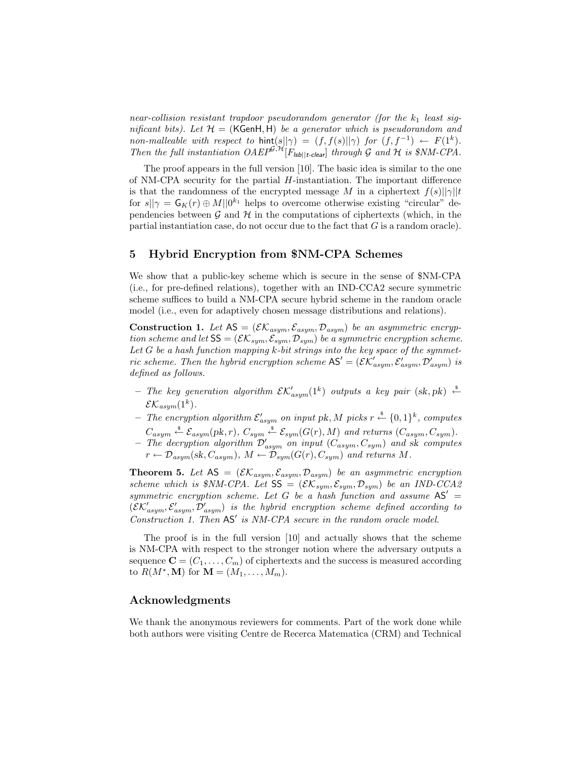near-collision resistant trapdoor pseudorandom generator (for the  $k_1$  least significant bits). Let  $H = (KGenH, H)$  be a generator which is pseudorandom and non-malleable with respect to  $\text{hint}(s||\gamma) = (f, f(s)||\gamma)$  for  $(f, f^{-1}) \leftarrow F(1^k)$ . Then the full instantiation  $OAEP^{\mathcal{G},\mathcal{H}}[F_{\text{lsb}||t-\text{clear}}]$  through  $\mathcal G$  and  $\mathcal H$  is \$NM-CPA.

The proof appears in the full version [10]. The basic idea is similar to the one of NM-CPA security for the partial  $H$ -instantiation. The important difference is that the randomness of the encrypted message M in a ciphertext  $f(s)||\gamma||t$ for  $s||\gamma = \mathsf{G}_K(r) \oplus M||0^{k_1}$  helps to overcome otherwise existing "circular" dependencies between  $\mathcal G$  and  $\mathcal H$  in the computations of ciphertexts (which, in the partial instantiation case, do not occur due to the fact that G is a random oracle).

### 5 Hybrid Encryption from \$NM-CPA Schemes

We show that a public-key scheme which is secure in the sense of \$NM-CPA (i.e., for pre-defined relations), together with an IND-CCA2 secure symmetric scheme suffices to build a NM-CPA secure hybrid scheme in the random oracle model (i.e., even for adaptively chosen message distributions and relations).

Construction 1. Let  $AS = (EK_{asym}, \mathcal{E}_{asym}, \mathcal{D}_{asym})$  be an asymmetric encryption scheme and let  $SS = (EK_{sym}, \mathcal{E}_{sym}, \mathcal{D}_{sym})$  be a symmetric encryption scheme. Let  $G$  be a hash function mapping  $k$ -bit strings into the key space of the symmetric scheme. Then the hybrid encryption scheme  $AS' = (EK'_{asym}, \mathcal{E}'_{asym}, \mathcal{D}'_{asym})$  is defined as follows.

- $-$  The key generation algorithm  $\mathcal{EK}'_{asym}(1^k)$  outputs a key pair  $(\textup{sk}, \textup{pk}) \overset{\hspace{0.1em}s}{\leftarrow}$  $\mathcal{EK}_{asym}(1^k).$
- The encryption algorithm  $\mathcal{E}'_{asym}$  on input pk, M picks  $r \stackrel{\$}{\leftarrow} \{0,1\}^k$ , computes  $C_{asym} \stackrel{\text{s}}{\leftarrow} \mathcal{E}_{asym}(pk, r), C_{sym} \stackrel{\text{s}}{\leftarrow} \mathcal{E}_{sym}(G(r), M)$  and returns  $(C_{asym}, C_{sym})$ .  $-$  The decryption algorithm  $\mathcal{D}_{asym}'$  on input  $(C_{asym}, C_{sym})$  and sk computes  $r \leftarrow \mathcal{D}_{asym}(sk, C_{asym}), M \leftarrow \mathcal{D}_{sym}(G(r), C_{sym})$  and returns M.

**Theorem 5.** Let  $AS = (EK_{asym}, \mathcal{E}_{asym}, \mathcal{D}_{asym})$  be an asymmetric encryption scheme which is \$NM-CPA. Let  $SS = (\mathcal{EK}_{sym}, \mathcal{E}_{sym}, \mathcal{D}_{sym})$  be an IND-CCA2 symmetric encryption scheme. Let G be a hash function and assume  $AS' =$  $(\mathcal{EK}_{asym}', \mathcal{E}_{asym}', \mathcal{D}_{asym}')$  is the hybrid encryption scheme defined according to  $Construction$  1. Then  $AS'$  is NM-CPA secure in the random oracle model.

The proof is in the full version [10] and actually shows that the scheme is NM-CPA with respect to the stronger notion where the adversary outputs a sequence  $\mathbf{C} = (C_1, \ldots, C_m)$  of ciphertexts and the success is measured according to  $R(M^*, M)$  for  $M = (M_1, ..., M_m)$ .

# Acknowledgments

We thank the anonymous reviewers for comments. Part of the work done while both authors were visiting Centre de Recerca Matematica (CRM) and Technical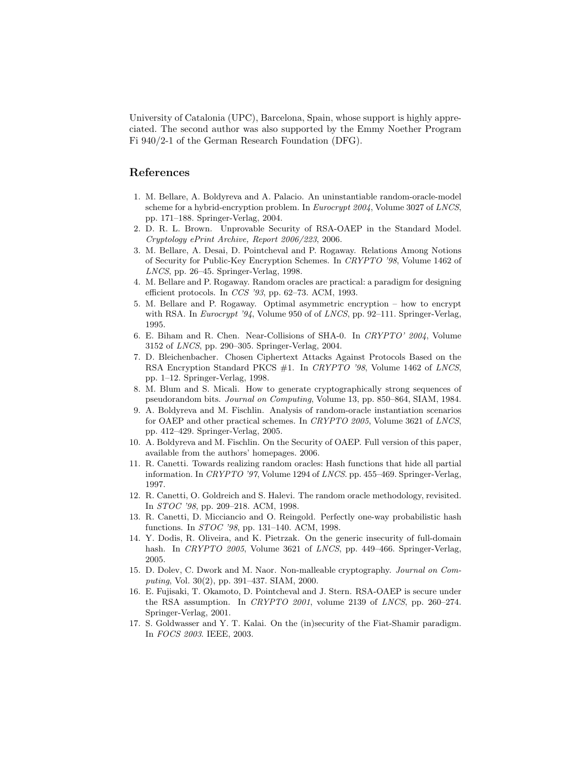University of Catalonia (UPC), Barcelona, Spain, whose support is highly appreciated. The second author was also supported by the Emmy Noether Program Fi 940/2-1 of the German Research Foundation (DFG).

# References

- 1. M. Bellare, A. Boldyreva and A. Palacio. An uninstantiable random-oracle-model scheme for a hybrid-encryption problem. In Eurocrypt 2004, Volume 3027 of LNCS, pp. 171–188. Springer-Verlag, 2004.
- 2. D. R. L. Brown. Unprovable Security of RSA-OAEP in the Standard Model. Cryptology ePrint Archive, Report 2006/223, 2006.
- 3. M. Bellare, A. Desai, D. Pointcheval and P. Rogaway. Relations Among Notions of Security for Public-Key Encryption Schemes. In CRYPTO '98, Volume 1462 of LNCS, pp. 26–45. Springer-Verlag, 1998.
- 4. M. Bellare and P. Rogaway. Random oracles are practical: a paradigm for designing efficient protocols. In CCS '93, pp. 62–73. ACM, 1993.
- 5. M. Bellare and P. Rogaway. Optimal asymmetric encryption how to encrypt with RSA. In *Eurocrypt* '94, Volume 950 of of *LNCS*, pp. 92–111. Springer-Verlag, 1995.
- 6. E. Biham and R. Chen. Near-Collisions of SHA-0. In CRYPTO' 2004, Volume 3152 of LNCS, pp. 290–305. Springer-Verlag, 2004.
- 7. D. Bleichenbacher. Chosen Ciphertext Attacks Against Protocols Based on the RSA Encryption Standard PKCS #1. In CRYPTO '98, Volume 1462 of LNCS, pp. 1–12. Springer-Verlag, 1998.
- 8. M. Blum and S. Micali. How to generate cryptographically strong sequences of pseudorandom bits. Journal on Computing, Volume 13, pp. 850–864, SIAM, 1984.
- 9. A. Boldyreva and M. Fischlin. Analysis of random-oracle instantiation scenarios for OAEP and other practical schemes. In CRYPTO 2005, Volume 3621 of LNCS, pp. 412–429. Springer-Verlag, 2005.
- 10. A. Boldyreva and M. Fischlin. On the Security of OAEP. Full version of this paper, available from the authors' homepages. 2006.
- 11. R. Canetti. Towards realizing random oracles: Hash functions that hide all partial information. In CRYPTO '97, Volume 1294 of LNCS. pp. 455–469. Springer-Verlag, 1997.
- 12. R. Canetti, O. Goldreich and S. Halevi. The random oracle methodology, revisited. In STOC '98, pp. 209–218. ACM, 1998.
- 13. R. Canetti, D. Micciancio and O. Reingold. Perfectly one-way probabilistic hash functions. In STOC '98, pp. 131–140. ACM, 1998.
- 14. Y. Dodis, R. Oliveira, and K. Pietrzak. On the generic insecurity of full-domain hash. In CRYPTO 2005, Volume 3621 of LNCS, pp. 449–466. Springer-Verlag, 2005.
- 15. D. Dolev, C. Dwork and M. Naor. Non-malleable cryptography. Journal on Computing, Vol. 30(2), pp. 391–437. SIAM, 2000.
- 16. E. Fujisaki, T. Okamoto, D. Pointcheval and J. Stern. RSA-OAEP is secure under the RSA assumption. In CRYPTO 2001, volume 2139 of LNCS, pp. 260–274. Springer-Verlag, 2001.
- 17. S. Goldwasser and Y. T. Kalai. On the (in)security of the Fiat-Shamir paradigm. In FOCS 2003. IEEE, 2003.